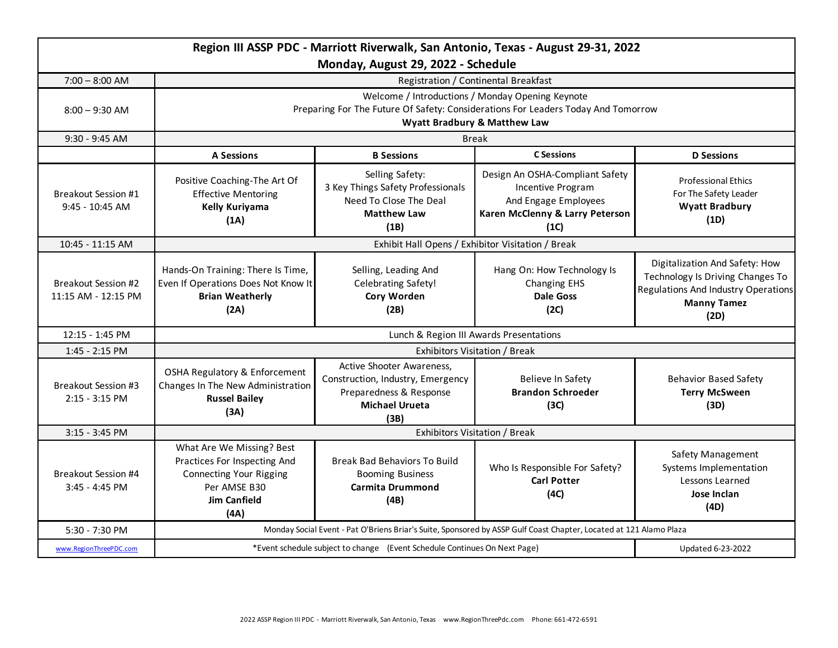|                                               |                                                                                                                                                                       | Monday, August 29, 2022 - Schedule                                                                                         | Region III ASSP PDC - Marriott Riverwalk, San Antonio, Texas - August 29-31, 2022                                       |                                                                                                                                         |  |
|-----------------------------------------------|-----------------------------------------------------------------------------------------------------------------------------------------------------------------------|----------------------------------------------------------------------------------------------------------------------------|-------------------------------------------------------------------------------------------------------------------------|-----------------------------------------------------------------------------------------------------------------------------------------|--|
| $7:00 - 8:00$ AM                              | Registration / Continental Breakfast                                                                                                                                  |                                                                                                                            |                                                                                                                         |                                                                                                                                         |  |
| $8:00 - 9:30$ AM                              | Welcome / Introductions / Monday Opening Keynote<br>Preparing For The Future Of Safety: Considerations For Leaders Today And Tomorrow<br>Wyatt Bradbury & Matthew Law |                                                                                                                            |                                                                                                                         |                                                                                                                                         |  |
| 9:30 - 9:45 AM                                | <b>Break</b>                                                                                                                                                          |                                                                                                                            |                                                                                                                         |                                                                                                                                         |  |
|                                               | <b>A Sessions</b>                                                                                                                                                     | <b>B</b> Sessions                                                                                                          | <b>C</b> Sessions                                                                                                       | <b>D</b> Sessions                                                                                                                       |  |
| <b>Breakout Session #1</b><br>9:45 - 10:45 AM | Positive Coaching-The Art Of<br><b>Effective Mentoring</b><br>Kelly Kuriyama<br>(1A)                                                                                  | Selling Safety:<br>3 Key Things Safety Professionals<br>Need To Close The Deal<br><b>Matthew Law</b><br>(1B)               | Design An OSHA-Compliant Safety<br>Incentive Program<br>And Engage Employees<br>Karen McClenny & Larry Peterson<br>(1C) | <b>Professional Ethics</b><br>For The Safety Leader<br><b>Wyatt Bradbury</b><br>(1D)                                                    |  |
| 10:45 - 11:15 AM                              | Exhibit Hall Opens / Exhibitor Visitation / Break                                                                                                                     |                                                                                                                            |                                                                                                                         |                                                                                                                                         |  |
| Breakout Session #2<br>11:15 AM - 12:15 PM    | Hands-On Training: There Is Time,<br>Even If Operations Does Not Know It<br><b>Brian Weatherly</b><br>(2A)                                                            | Selling, Leading And<br><b>Celebrating Safety!</b><br>Cory Worden<br>(2B)                                                  | Hang On: How Technology Is<br><b>Changing EHS</b><br><b>Dale Goss</b><br>(2C)                                           | Digitalization And Safety: How<br>Technology Is Driving Changes To<br>Regulations And Industry Operations<br><b>Manny Tamez</b><br>(2D) |  |
| $12:15 - 1:45$ PM                             | Lunch & Region III Awards Presentations                                                                                                                               |                                                                                                                            |                                                                                                                         |                                                                                                                                         |  |
| 1:45 - 2:15 PM                                | Exhibitors Visitation / Break                                                                                                                                         |                                                                                                                            |                                                                                                                         |                                                                                                                                         |  |
| Breakout Session #3<br>$2:15 - 3:15$ PM       | OSHA Regulatory & Enforcement<br>Changes In The New Administration<br><b>Russel Bailey</b><br>(3A)                                                                    | Active Shooter Awareness,<br>Construction, Industry, Emergency<br>Preparedness & Response<br><b>Michael Urueta</b><br>(3B) | Believe In Safety<br><b>Brandon Schroeder</b><br>(3C)                                                                   | <b>Behavior Based Safety</b><br><b>Terry McSween</b><br>(3D)                                                                            |  |
| $3:15 - 3:45$ PM                              | Exhibitors Visitation / Break                                                                                                                                         |                                                                                                                            |                                                                                                                         |                                                                                                                                         |  |
| Breakout Session #4<br>3:45 - 4:45 PM         | What Are We Missing? Best<br>Practices For Inspecting And<br><b>Connecting Your Rigging</b><br>Per AMSE B30<br><b>Jim Canfield</b><br>(AA)                            | Break Bad Behaviors To Build<br><b>Booming Business</b><br><b>Carmita Drummond</b><br>(4B)                                 | Who Is Responsible For Safety?<br><b>Carl Potter</b><br>(4C)                                                            | Safety Management<br>Systems Implementation<br>Lessons Learned<br>Jose Inclan<br>(4D)                                                   |  |
| 5:30 - 7:30 PM                                | Monday Social Event - Pat O'Briens Briar's Suite, Sponsored by ASSP Gulf Coast Chapter, Located at 121 Alamo Plaza                                                    |                                                                                                                            |                                                                                                                         |                                                                                                                                         |  |
| www.RegionThreePDC.com                        | *Event schedule subject to change (Event Schedule Continues On Next Page)                                                                                             |                                                                                                                            | Updated 6-23-2022                                                                                                       |                                                                                                                                         |  |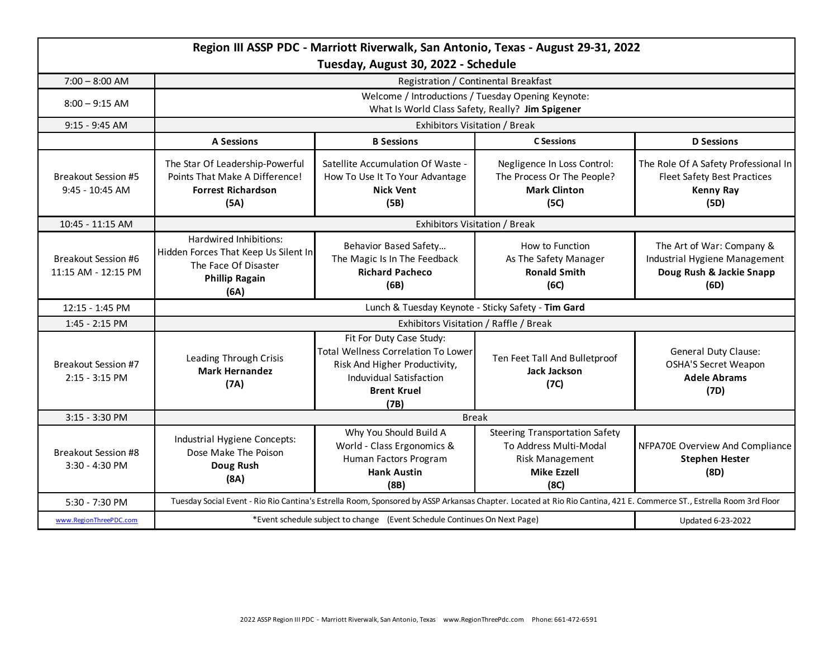| Region III ASSP PDC - Marriott Riverwalk, San Antonio, Texas - August 29-31, 2022<br>Tuesday, August 30, 2022 - Schedule |                                                                                                                                                                      |                                                                                                                                                                  |                                                                                                                         |                                                                                                        |  |  |
|--------------------------------------------------------------------------------------------------------------------------|----------------------------------------------------------------------------------------------------------------------------------------------------------------------|------------------------------------------------------------------------------------------------------------------------------------------------------------------|-------------------------------------------------------------------------------------------------------------------------|--------------------------------------------------------------------------------------------------------|--|--|
| $7:00 - 8:00$ AM                                                                                                         | Registration / Continental Breakfast                                                                                                                                 |                                                                                                                                                                  |                                                                                                                         |                                                                                                        |  |  |
| $8:00 - 9:15$ AM                                                                                                         | Welcome / Introductions / Tuesday Opening Keynote:<br>What Is World Class Safety, Really? Jim Spigener                                                               |                                                                                                                                                                  |                                                                                                                         |                                                                                                        |  |  |
| 9:15 - 9:45 AM                                                                                                           | Exhibitors Visitation / Break                                                                                                                                        |                                                                                                                                                                  |                                                                                                                         |                                                                                                        |  |  |
|                                                                                                                          | <b>A Sessions</b>                                                                                                                                                    | <b>B</b> Sessions                                                                                                                                                | <b>C</b> Sessions                                                                                                       | <b>D</b> Sessions                                                                                      |  |  |
| Breakout Session #5<br>$9:45 - 10:45$ AM                                                                                 | The Star Of Leadership-Powerful<br>Points That Make A Difference!<br><b>Forrest Richardson</b><br>(5A)                                                               | Satellite Accumulation Of Waste -<br>How To Use It To Your Advantage<br><b>Nick Vent</b><br>(5B)                                                                 | Negligence In Loss Control:<br>The Process Or The People?<br><b>Mark Clinton</b><br>(5C)                                | The Role Of A Safety Professional In<br><b>Fleet Safety Best Practices</b><br><b>Kenny Ray</b><br>(5D) |  |  |
| 10:45 - 11:15 AM                                                                                                         | Exhibitors Visitation / Break                                                                                                                                        |                                                                                                                                                                  |                                                                                                                         |                                                                                                        |  |  |
| <b>Breakout Session #6</b><br>11:15 AM - 12:15 PM                                                                        | Hardwired Inhibitions:<br>Hidden Forces That Keep Us Silent In<br>The Face Of Disaster<br><b>Phillip Ragain</b><br>(6A)                                              | Behavior Based Safety<br>The Magic Is In The Feedback<br><b>Richard Pacheco</b><br>(6B)                                                                          | How to Function<br>As The Safety Manager<br><b>Ronald Smith</b><br>(6C)                                                 | The Art of War: Company &<br>Industrial Hygiene Management<br>Doug Rush & Jackie Snapp<br>(6D)         |  |  |
| 12:15 - 1:45 PM                                                                                                          | Lunch & Tuesday Keynote - Sticky Safety - Tim Gard                                                                                                                   |                                                                                                                                                                  |                                                                                                                         |                                                                                                        |  |  |
| 1:45 - 2:15 PM                                                                                                           | Exhibitors Visitation / Raffle / Break                                                                                                                               |                                                                                                                                                                  |                                                                                                                         |                                                                                                        |  |  |
| Breakout Session #7<br>2:15 - 3:15 PM                                                                                    | Leading Through Crisis<br><b>Mark Hernandez</b><br>(7A)                                                                                                              | Fit For Duty Case Study:<br><b>Total Wellness Correlation To Lower</b><br>Risk And Higher Productivity,<br>Induvidual Satisfaction<br><b>Brent Kruel</b><br>(7B) | Ten Feet Tall And Bulletproof<br><b>Jack Jackson</b><br>(7C)                                                            | <b>General Duty Clause:</b><br><b>OSHA'S Secret Weapon</b><br><b>Adele Abrams</b><br>(7D)              |  |  |
| 3:15 - 3:30 PM                                                                                                           | <b>Break</b>                                                                                                                                                         |                                                                                                                                                                  |                                                                                                                         |                                                                                                        |  |  |
| <b>Breakout Session #8</b><br>3:30 - 4:30 PM                                                                             | Industrial Hygiene Concepts:<br>Dose Make The Poison<br>Doug Rush<br>(8A)                                                                                            | Why You Should Build A<br>World - Class Ergonomics &<br>Human Factors Program<br><b>Hank Austin</b><br>(8B)                                                      | <b>Steering Transportation Safety</b><br>To Address Multi-Modal<br><b>Risk Management</b><br><b>Mike Ezzell</b><br>(8C) | NFPA70E Overview And Compliance<br><b>Stephen Hester</b><br>(8D)                                       |  |  |
| 5:30 - 7:30 PM                                                                                                           | Tuesday Social Event - Rio Rio Cantina's Estrella Room, Sponsored by ASSP Arkansas Chapter. Located at Rio Rio Cantina, 421 E. Commerce ST., Estrella Room 3rd Floor |                                                                                                                                                                  |                                                                                                                         |                                                                                                        |  |  |
| www.RegionThreePDC.com                                                                                                   | *Event schedule subject to change (Event Schedule Continues On Next Page)                                                                                            |                                                                                                                                                                  | Updated 6-23-2022                                                                                                       |                                                                                                        |  |  |